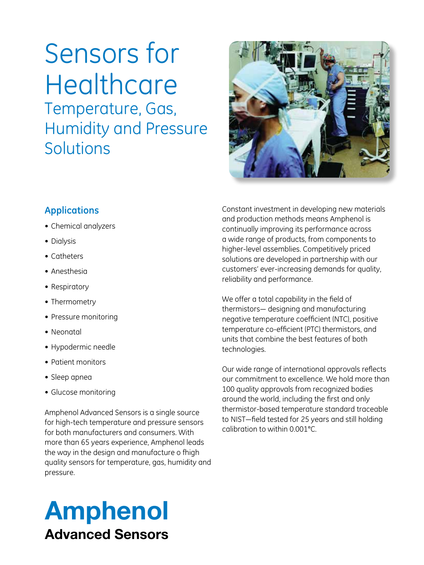# Sensors for **Healthcare** Temperature, Gas, Humidity and Pressure Solutions



#### **Applications**

- • Chemical analyzers
- Dialysis
- • Catheters
- • Anesthesia
- Respiratory
- Thermometry
- • Pressure monitoring
- • Neonatal
- • Hypodermic needle
- • Patient monitors
- • Sleep apnea
- • Glucose monitoring

Amphenol Advanced Sensors is a single source for high-tech temperature and pressure sensors for both manufacturers and consumers. With more than 65 years experience, Amphenol leads the way in the design and manufacture o fhigh quality sensors for temperature, gas, humidity and pressure.

## Amphenol Advanced Sensors

Constant investment in developing new materials and production methods means Amphenol is continually improving its performance across a wide range of products, from components to higher-level assemblies. Competitively priced solutions are developed in partnership with our customers' ever-increasing demands for quality, reliability and performance.

We offer a total capability in the field of thermistors— designing and manufacturing negative temperature coefficient (NTC), positive temperature co-efficient (PTC) thermistors, and units that combine the best features of both technologies.

Our wide range of international approvals reflects our commitment to excellence. We hold more than 100 quality approvals from recognized bodies around the world, including the first and only thermistor-based temperature standard traceable to NIST—field tested for 25 years and still holding calibration to within 0.001°C.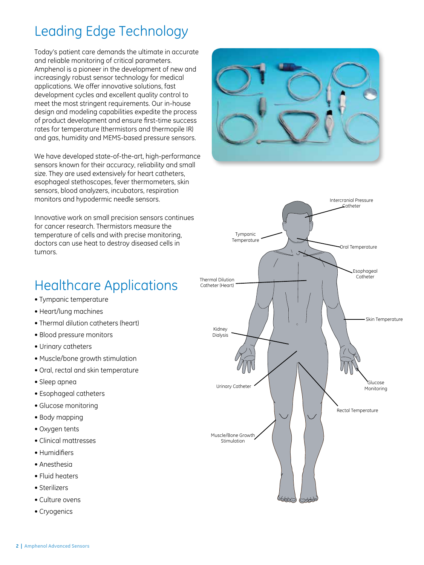## Leading Edge Technology

Today's patient care demands the ultimate in accurate and reliable monitoring of critical parameters. Amphenol is a pioneer in the development of new and increasingly robust sensor technology for medical applications. We offer innovative solutions, fast development cycles and excellent quality control to meet the most stringent requirements. Our in-house design and modeling capabilities expedite the process of product development and ensure first-time success rates for temperature (thermistors and thermopile IR) and gas, humidity and MEMS-based pressure sensors.

We have developed state-of-the-art, high-performance sensors known for their accuracy, reliability and small size. They are used extensively for heart catheters, esophageal stethoscopes, fever thermometers, skin sensors, blood analyzers, incubators, respiration monitors and hypodermic needle sensors.

Innovative work on small precision sensors continues for cancer research. Thermistors measure the temperature of cells and with precise monitoring, doctors can use heat to destroy diseased cells in tumors.





## Healthcare Applications

- Tympanic temperature
- Heart/lung machines
- Thermal dilution catheters (heart)
- Blood pressure monitors
- Urinary catheters
- Muscle/bone growth stimulation
- Oral, rectal and skin temperature
- Sleep apnea
- Esophageal catheters
- Glucose monitoring
- Body mapping
- Oxygen tents
- Clinical mattresses
- Humidifiers
- Anesthesia
- Fluid heaters
- Sterilizers
- Culture ovens
- Cryogenics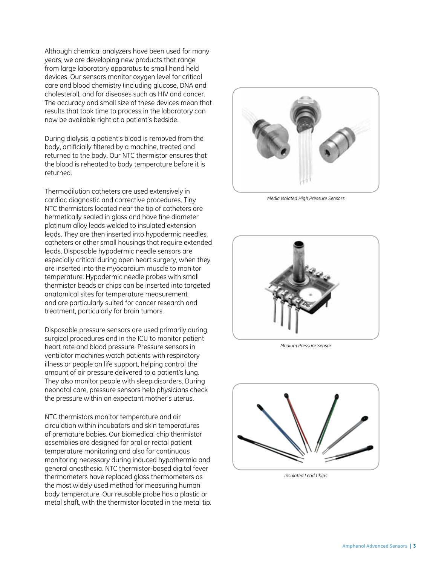Although chemical analyzers have been used for many years, we are developing new products that range from large laboratory apparatus to small hand held devices. Our sensors monitor oxygen level for critical care and blood chemistry (including glucose, DNA and cholesterol), and for diseases such as HIV and cancer. The accuracy and small size of these devices mean that results that took time to process in the laboratory can now be available right at a patient's bedside.

During dialysis, a patient's blood is removed from the body, artificially filtered by a machine, treated and returned to the body. Our NTC thermistor ensures that the blood is reheated to body temperature before it is returned.

Thermodilution catheters are used extensively in cardiac diagnostic and corrective procedures. Tiny NTC thermistors located near the tip of catheters are hermetically sealed in glass and have fine diameter platinum alloy leads welded to insulated extension leads. They are then inserted into hypodermic needles, catheters or other small housings that require extended leads. Disposable hypodermic needle sensors are especially critical during open heart surgery, when they are inserted into the myocardium muscle to monitor temperature. Hypodermic needle probes with small thermistor beads or chips can be inserted into targeted anatomical sites for temperature measurement and are particularly suited for cancer research and treatment, particularly for brain tumors.

Disposable pressure sensors are used primarily during surgical procedures and in the ICU to monitor patient heart rate and blood pressure. Pressure sensors in ventilator machines watch patients with respiratory illness or people on life support, helping control the amount of air pressure delivered to a patient's lung. They also monitor people with sleep disorders. During neonatal care, pressure sensors help physicians check the pressure within an expectant mother's uterus.

NTC thermistors monitor temperature and air circulation within incubators and skin temperatures of premature babies. Our biomedical chip thermistor assemblies are designed for oral or rectal patient temperature monitoring and also for continuous monitoring necessary during induced hypothermia and general anesthesia. NTC thermistor-based digital fever thermometers have replaced glass thermometers as the most widely used method for measuring human body temperature. Our reusable probe has a plastic or metal shaft, with the thermistor located in the metal tip.



*Media Isolated High Pressure Sensors*



*Medium Pressure Sensor*



*Insulated Lead Chips*